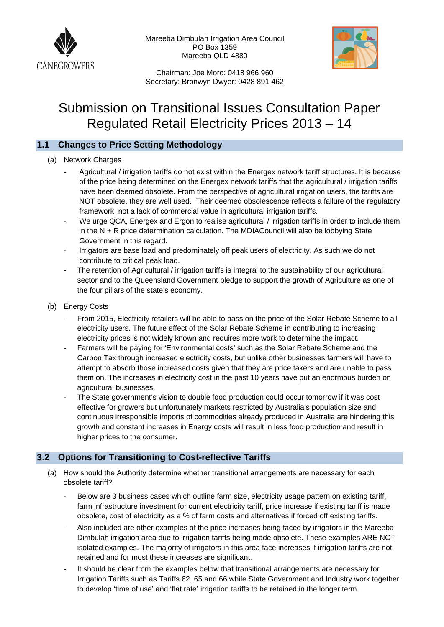

Mareeba Dimbulah Irrigation Area Council PO Box 1359 Mareeba QLD 4880



 Chairman: Joe Moro: 0418 966 960 Secretary: Bronwyn Dwyer: 0428 891 462

# Submission on Transitional Issues Consultation Paper Regulated Retail Electricity Prices 2013 – 14

## **1.1 Changes to Price Setting Methodology**

### (a) Network Charges

- Agricultural / irrigation tariffs do not exist within the Energex network tariff structures. It is because of the price being determined on the Energex network tariffs that the agricultural / irrigation tariffs have been deemed obsolete. From the perspective of agricultural irrigation users, the tariffs are NOT obsolete, they are well used. Their deemed obsolescence reflects a failure of the regulatory framework, not a lack of commercial value in agricultural irrigation tariffs.
- We urge QCA, Energex and Ergon to realise agricultural / irrigation tariffs in order to include them in the N + R price determination calculation. The MDIACouncil will also be lobbying State Government in this regard.
- Irrigators are base load and predominately off peak users of electricity. As such we do not contribute to critical peak load.
- The retention of Agricultural / irrigation tariffs is integral to the sustainability of our agricultural sector and to the Queensland Government pledge to support the growth of Agriculture as one of the four pillars of the state's economy.
- (b) Energy Costs
	- From 2015, Electricity retailers will be able to pass on the price of the Solar Rebate Scheme to all electricity users. The future effect of the Solar Rebate Scheme in contributing to increasing electricity prices is not widely known and requires more work to determine the impact.
	- Farmers will be paying for 'Environmental costs' such as the Solar Rebate Scheme and the Carbon Tax through increased electricity costs, but unlike other businesses farmers will have to attempt to absorb those increased costs given that they are price takers and are unable to pass them on. The increases in electricity cost in the past 10 years have put an enormous burden on agricultural businesses.
	- The State government's vision to double food production could occur tomorrow if it was cost effective for growers but unfortunately markets restricted by Australia's population size and continuous irresponsible imports of commodities already produced in Australia are hindering this growth and constant increases in Energy costs will result in less food production and result in higher prices to the consumer.

## **3.2 Options for Transitioning to Cost-reflective Tariffs**

- (a) How should the Authority determine whether transitional arrangements are necessary for each obsolete tariff?
	- Below are 3 business cases which outline farm size, electricity usage pattern on existing tariff, farm infrastructure investment for current electricity tariff, price increase if existing tariff is made obsolete, cost of electricity as a % of farm costs and alternatives if forced off existing tariffs.
	- Also included are other examples of the price increases being faced by irrigators in the Mareeba Dimbulah irrigation area due to irrigation tariffs being made obsolete. These examples ARE NOT isolated examples. The majority of irrigators in this area face increases if irrigation tariffs are not retained and for most these increases are significant.
	- It should be clear from the examples below that transitional arrangements are necessary for Irrigation Tariffs such as Tariffs 62, 65 and 66 while State Government and Industry work together to develop 'time of use' and 'flat rate' irrigation tariffs to be retained in the longer term.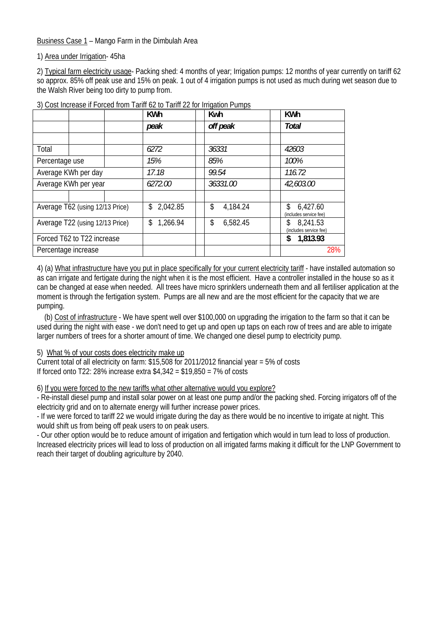Business Case 1 – Mango Farm in the Dimbulah Area

1) Area under Irrigation- 45ha

2) Typical farm electricity usage- Packing shed: 4 months of year; Irrigation pumps: 12 months of year currently on tariff 62 so approx. 85% off peak use and 15% on peak. 1 out of 4 irrigation pumps is not used as much during wet season due to the Walsh River being too dirty to pump from.

|                                 |  |                 | <b>KWh</b>      | <u> 2008 - 101 - 101 - 101 - 101 - 101 - 101 - 101 - 101 - 101 - 101 - 101 - 101 - 101 - 101 - 101 - 101 - 101 - 101 - 101 - 101 - 101 - 101 - 101 - 101 - 101 - 101 - 101 - 101 - 101 - 101 - 101 - 101 - 101 - 101 - 101 - 101</u><br>Kwh | <b>KWh</b>                                |
|---------------------------------|--|-----------------|-----------------|---------------------------------------------------------------------------------------------------------------------------------------------------------------------------------------------------------------------------------------------|-------------------------------------------|
|                                 |  |                 | peak            | off peak                                                                                                                                                                                                                                    | Total                                     |
|                                 |  |                 |                 |                                                                                                                                                                                                                                             |                                           |
| Total                           |  |                 | 6272            | 36331                                                                                                                                                                                                                                       | 42603                                     |
| Percentage use                  |  |                 | 15%             | 85%                                                                                                                                                                                                                                         | 100%                                      |
| Average KWh per day             |  | 17.18           | 99.54           | 116.72                                                                                                                                                                                                                                      |                                           |
| Average KWh per year            |  | 6272.00         | 36331.00        | 42,603.00                                                                                                                                                                                                                                   |                                           |
|                                 |  |                 |                 |                                                                                                                                                                                                                                             |                                           |
| Average T62 (using 12/13 Price) |  |                 | 2,042.85<br>\$  | 4,184.24<br>\$                                                                                                                                                                                                                              | 6,427.60<br>\$.<br>(includes service fee) |
| Average T22 (using 12/13 Price) |  | \$.<br>1,266.94 | \$.<br>6,582.45 | 8,241.53<br>S.<br>(includes service fee)                                                                                                                                                                                                    |                                           |
| Forced T62 to T22 increase      |  |                 |                 | 1,813.93<br>\$                                                                                                                                                                                                                              |                                           |
| Percentage increase             |  |                 |                 |                                                                                                                                                                                                                                             | 28%                                       |

3) Cost Increase if Forced from Tariff 62 to Tariff 22 for Irrigation Pumps

4) (a) What infrastructure have you put in place specifically for your current electricity tariff - have installed automation so as can irrigate and fertigate during the night when it is the most efficient. Have a controller installed in the house so as it can be changed at ease when needed. All trees have micro sprinklers underneath them and all fertiliser application at the moment is through the fertigation system. Pumps are all new and are the most efficient for the capacity that we are pumping.

 (b) Cost of infrastructure - We have spent well over \$100,000 on upgrading the irrigation to the farm so that it can be used during the night with ease - we don't need to get up and open up taps on each row of trees and are able to irrigate larger numbers of trees for a shorter amount of time. We changed one diesel pump to electricity pump.

### 5) What % of your costs does electricity make up

Current total of all electricity on farm: \$15,508 for 2011/2012 financial year = 5% of costs If forced onto T22: 28% increase extra  $$4.342 = $19.850 = 7\%$  of costs

### 6) If you were forced to the new tariffs what other alternative would you explore?

- Re-install diesel pump and install solar power on at least one pump and/or the packing shed. Forcing irrigators off of the electricity grid and on to alternate energy will further increase power prices.

- If we were forced to tariff 22 we would irrigate during the day as there would be no incentive to irrigate at night. This would shift us from being off peak users to on peak users.

- Our other option would be to reduce amount of irrigation and fertigation which would in turn lead to loss of production. Increased electricity prices will lead to loss of production on all irrigated farms making it difficult for the LNP Government to reach their target of doubling agriculture by 2040.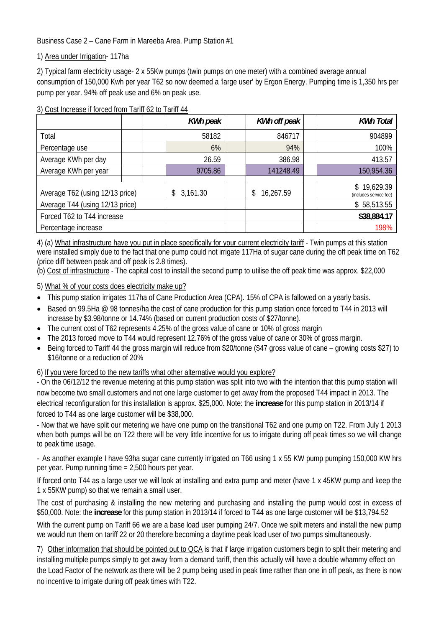Business Case 2 – Cane Farm in Mareeba Area. Pump Station #1

1) Area under Irrigation- 117ha

2) Typical farm electricity usage- 2 x 55Kw pumps (twin pumps on one meter) with a combined average annual consumption of 150,000 Kwh per year T62 so now deemed a 'large user' by Ergon Energy. Pumping time is 1,350 hrs per pump per year. 94% off peak use and 6% on peak use.

3) Cost Increase if forced from Tariff 62 to Tariff 44

|                                 |  |  | <b>KWh peak</b> | <b>KWh off peak</b> | <b>KWh Total</b>                      |
|---------------------------------|--|--|-----------------|---------------------|---------------------------------------|
| Total                           |  |  | 58182           | 846717              | 904899                                |
| Percentage use                  |  |  | 6%              | 94%                 | 100%                                  |
| Average KWh per day             |  |  | 26.59           | 386.98              | 413.57                                |
| Average KWh per year            |  |  | 9705.86         | 141248.49           | 150,954.36                            |
|                                 |  |  |                 |                     |                                       |
| Average T62 (using 12/13 price) |  |  | 3,161.30<br>\$  | 16,267.59           | \$19,629.39<br>(includes service fee) |
| Average T44 (using 12/13 price) |  |  |                 |                     | \$58,513.55                           |
| Forced T62 to T44 increase      |  |  |                 |                     | \$38,884.17                           |
| Percentage increase             |  |  |                 |                     | 198%                                  |

4) (a) What infrastructure have you put in place specifically for your current electricity tariff - Twin pumps at this station were installed simply due to the fact that one pump could not irrigate 117Ha of sugar cane during the off peak time on T62 (price diff between peak and off peak is 2.8 times).

(b) Cost of infrastructure - The capital cost to install the second pump to utilise the off peak time was approx. \$22,000

5) What % of your costs does electricity make up?

- This pump station irrigates 117ha of Cane Production Area (CPA). 15% of CPA is fallowed on a yearly basis.
- Based on 99.5Ha @ 98 tonnes/ha the cost of cane production for this pump station once forced to T44 in 2013 will increase by \$3.98/tonne or 14.74% (based on current production costs of \$27/tonne).
- The current cost of T62 represents 4.25% of the gross value of cane or 10% of gross margin
- The 2013 forced move to T44 would represent 12.76% of the gross value of cane or 30% of gross margin.
- Being forced to Tariff 44 the gross margin will reduce from \$20/tonne (\$47 gross value of cane growing costs \$27) to \$16/tonne or a reduction of 20%

6) If you were forced to the new tariffs what other alternative would you explore?

- On the 06/12/12 the revenue metering at this pump station was split into two with the intention that this pump station will now become two small customers and not one large customer to get away from the proposed T44 impact in 2013. The electrical reconfiguration for this installation is approx. \$25,000. Note: the **increase** for this pump station in 2013/14 if forced to T44 as one large customer will be \$38,000.

- Now that we have split our metering we have one pump on the transitional T62 and one pump on T22. From July 1 2013 when both pumps will be on T22 there will be very little incentive for us to irrigate during off peak times so we will change to peak time usage.

- As another example I have 93ha sugar cane currently irrigated on T66 using 1 x 55 KW pump pumping 150,000 KW hrs per year. Pump running time = 2,500 hours per year.

If forced onto T44 as a large user we will look at installing and extra pump and meter (have 1 x 45KW pump and keep the 1 x 55KW pump) so that we remain a small user.

The cost of purchasing & installing the new metering and purchasing and installing the pump would cost in excess of \$50,000. Note: the **increase** for this pump station in 2013/14 if forced to T44 as one large customer will be \$13,794.52

With the current pump on Tariff 66 we are a base load user pumping 24/7. Once we spilt meters and install the new pump we would run them on tariff 22 or 20 therefore becoming a daytime peak load user of two pumps simultaneously.

7) Other information that should be pointed out to QCA is that if large irrigation customers begin to split their metering and installing multiple pumps simply to get away from a demand tariff, then this actually will have a double whammy effect on the Load Factor of the network as there will be 2 pump being used in peak time rather than one in off peak, as there is now no incentive to irrigate during off peak times with T22.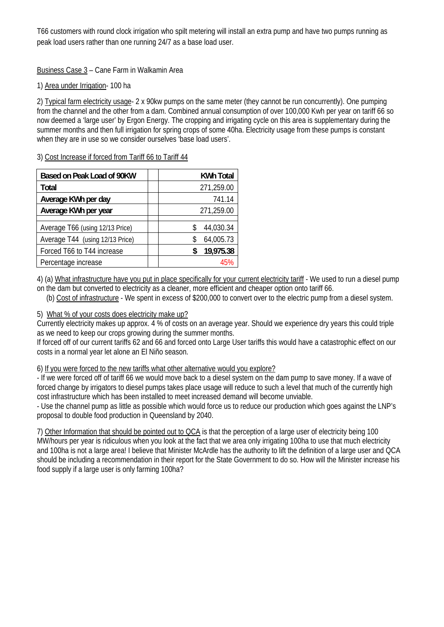T66 customers with round clock irrigation who spilt metering will install an extra pump and have two pumps running as peak load users rather than one running 24/7 as a base load user.

Business Case 3 – Cane Farm in Walkamin Area

## 1) Area under Irrigation- 100 ha

2) Typical farm electricity usage- 2 x 90kw pumps on the same meter (they cannot be run concurrently). One pumping from the channel and the other from a dam. Combined annual consumption of over 100,000 Kwh per year on tariff 66 so now deemed a 'large user' by Ergon Energy. The cropping and irrigating cycle on this area is supplementary during the summer months and then full irrigation for spring crops of some 40ha. Electricity usage from these pumps is constant when they are in use so we consider ourselves 'base load users'.

3) Cost Increase if forced from Tariff 66 to Tariff 44

| Based on Peak Load of 90KW      | <b>KWh Total</b> |
|---------------------------------|------------------|
| <b>Total</b>                    | 271,259.00       |
| Average KWh per day             | 741.14           |
| Average KWh per year            | 271,259.00       |
|                                 |                  |
| Average T66 (using 12/13 Price) | 44,030.34        |
| Average T44 (using 12/13 Price) | 64,005.73<br>S   |
| Forced T66 to T44 increase      | 19,975.38        |
| Percentage increase             |                  |

4) (a) What infrastructure have you put in place specifically for your current electricity tariff - We used to run a diesel pump

on the dam but converted to electricity as a cleaner, more efficient and cheaper option onto tariff 66.

(b) Cost of infrastructure - We spent in excess of \$200,000 to convert over to the electric pump from a diesel system.

### 5) What % of your costs does electricity make up?

Currently electricity makes up approx. 4 % of costs on an average year. Should we experience dry years this could triple as we need to keep our crops growing during the summer months.

If forced off of our current tariffs 62 and 66 and forced onto Large User tariffs this would have a catastrophic effect on our costs in a normal year let alone an El Niño season.

### 6) If you were forced to the new tariffs what other alternative would you explore?

- If we were forced off of tariff 66 we would move back to a diesel system on the dam pump to save money. If a wave of forced change by irrigators to diesel pumps takes place usage will reduce to such a level that much of the currently high cost infrastructure which has been installed to meet increased demand will become unviable.

- Use the channel pump as little as possible which would force us to reduce our production which goes against the LNP's proposal to double food production in Queensland by 2040.

7) Other Information that should be pointed out to QCA is that the perception of a large user of electricity being 100 MW/hours per year is ridiculous when you look at the fact that we area only irrigating 100ha to use that much electricity and 100ha is not a large area! I believe that Minister McArdle has the authority to lift the definition of a large user and QCA should be including a recommendation in their report for the State Government to do so. How will the Minister increase his food supply if a large user is only farming 100ha?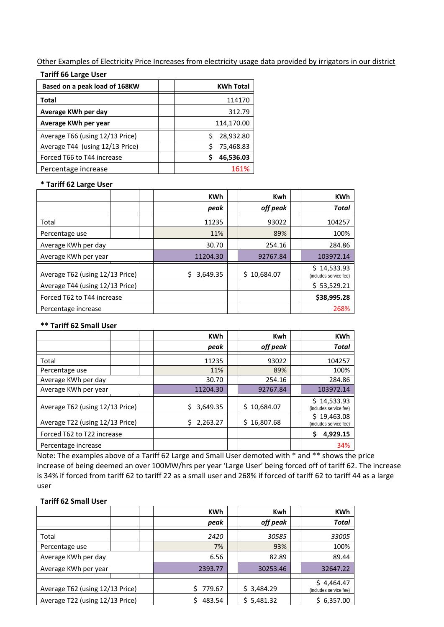Other Examples of Electricity Price Increases from electricity usage data provided by irrigators in our district

|  |  |  |  | <b>Tariff 66 Large User</b> |  |
|--|--|--|--|-----------------------------|--|
|--|--|--|--|-----------------------------|--|

| Based on a peak load of 168KW   | <b>KWh Total</b> |
|---------------------------------|------------------|
| Total                           | 114170           |
| Average KWh per day             | 312.79           |
| Average KWh per year            | 114,170.00       |
| Average T66 (using 12/13 Price) | 28,932.80        |
| Average T44 (using 12/13 Price) | 75,468.83        |
| Forced T66 to T44 increase      | 46,536.03        |
| Percentage increase             | 161%             |

#### **\* Tariff 62 Large User**

|                                 |  | <b>KWh</b> | <b>Kwh</b>  | <b>KWh</b>                            |
|---------------------------------|--|------------|-------------|---------------------------------------|
|                                 |  | peak       | off peak    | <b>Total</b>                          |
| Total                           |  | 11235      | 93022       | 104257                                |
| Percentage use                  |  | 11%        | 89%         | 100%                                  |
| Average KWh per day             |  | 30.70      | 254.16      | 284.86                                |
| Average KWh per year            |  | 11204.30   | 92767.84    | 103972.14                             |
| Average T62 (using 12/13 Price) |  | 3,649.35   | \$10,684.07 | \$14,533.93<br>(includes service fee) |
| Average T44 (using 12/13 Price) |  |            |             | \$53,529.21                           |
| Forced T62 to T44 increase      |  |            |             | \$38,995.28                           |
| Percentage increase             |  |            |             | 268%                                  |

#### **\*\* Tariff 62 Small User**

|                                 |  | <b>KWh</b> | <b>Kwh</b>      | <b>KWh</b>                            |
|---------------------------------|--|------------|-----------------|---------------------------------------|
|                                 |  | peak       | off peak        | <b>Total</b>                          |
| Total                           |  | 11235      | 93022           | 104257                                |
| Percentage use                  |  | 11%        | 89%             | 100%                                  |
| Average KWh per day             |  | 30.70      | 254.16          | 284.86                                |
| Average KWh per year            |  | 11204.30   | 92767.84        | 103972.14                             |
| Average T62 (using 12/13 Price) |  | 3,649.35   | 10,684.07<br>S. | \$14,533.93<br>(includes service fee) |
| Average T22 (using 12/13 Price) |  | 2,263.27   | 16,807.68<br>Ś. | \$19,463.08<br>(includes service fee) |
| Forced T62 to T22 increase      |  |            |                 | 4,929.15<br>Ś                         |
| Percentage increase             |  |            |                 | 34%                                   |

Note: The examples above of a Tariff 62 Large and Small User demoted with \* and \*\* shows the price increase of being deemed an over 100MW/hrs per year 'Large User' being forced off of tariff 62. The increase is 34% if forced from tariff 62 to tariff 22 as a small user and 268% if forced of tariff 62 to tariff 44 as a large user

#### **Tariff 62 Small User**

|                                 |  |              | <b>KWh</b> | <b>Kwh</b>                           | <b>KWh</b>   |
|---------------------------------|--|--------------|------------|--------------------------------------|--------------|
|                                 |  |              | peak       | off peak                             | <b>Total</b> |
| Total                           |  |              | 2420       | 30585                                | 33005        |
| Percentage use                  |  |              | 7%         | 93%                                  | 100%         |
| Average KWh per day             |  | 6.56         | 82.89      | 89.44                                |              |
| Average KWh per year            |  |              | 2393.77    | 30253.46                             | 32647.22     |
| Average T62 (using 12/13 Price) |  | Ś.<br>779.67 | \$3,484.29 | \$4,464.47<br>(includes service fee) |              |
| Average T22 (using 12/13 Price) |  | 483.54       | \$5,481.32 | \$6,357.00                           |              |